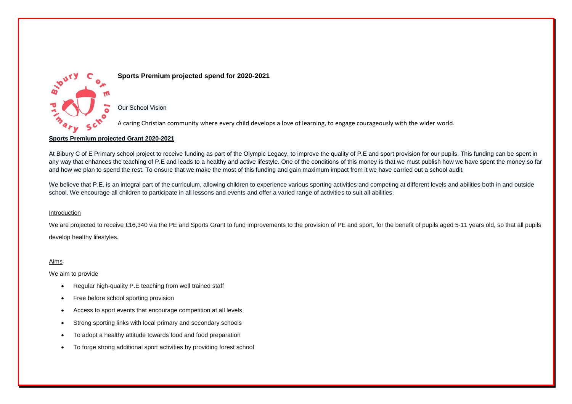

### **Sports Premium projected spend for 2020-2021**

Our School Vision

A caring Christian community where every child develops a love of learning, to engage courageously with the wider world.

#### **Sports Premium projected Grant 2020-2021**

At Bibury C of E Primary school project to receive funding as part of the Olympic Legacy, to improve the quality of P.E and sport provision for our pupils. This funding can be spent in any way that enhances the teaching of P.E and leads to a healthy and active lifestyle. One of the conditions of this money is that we must publish how we have spent the money so far and how we plan to spend the rest. To ensure that we make the most of this funding and gain maximum impact from it we have carried out a school audit.

We believe that P.E. is an integral part of the curriculum, allowing children to experience various sporting activities and competing at different levels and abilities both in and outside school. We encourage all children to participate in all lessons and events and offer a varied range of activities to suit all abilities.

#### Introduction

We are projected to receive £16,340 via the PE and Sports Grant to fund improvements to the provision of PE and sport, for the benefit of pupils aged 5-11 years old, so that all pupils develop healthy lifestyles.

#### Aims

We aim to provide

- Regular high-quality P.E teaching from well trained staff
- Free before school sporting provision
- Access to sport events that encourage competition at all levels
- Strong sporting links with local primary and secondary schools
- To adopt a healthy attitude towards food and food preparation
- To forge strong additional sport activities by providing forest school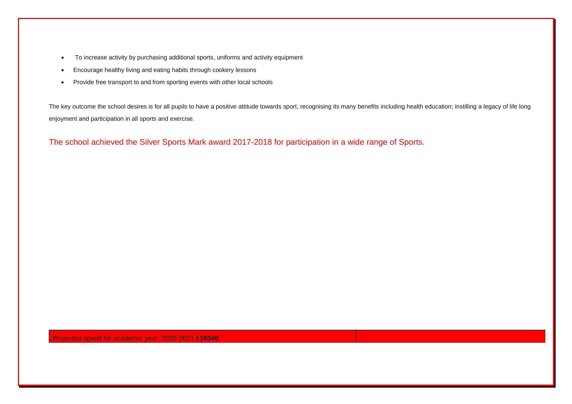- To increase activity by purchasing additional sports, uniforms and activity equipment
- Encourage healthy living and eating habits through cookery lessons
- Provide free transport to and from sporting events with other local schools

The key outcome the school desires is for all pupils to have a positive attitude towards sport, recognising its many benefits including health education; instilling a legacy of life long enjoyment and participation in all sports and exercise.

The school achieved the Silver Sports Mark award 2017-2018 for participation in a wide range of Sports.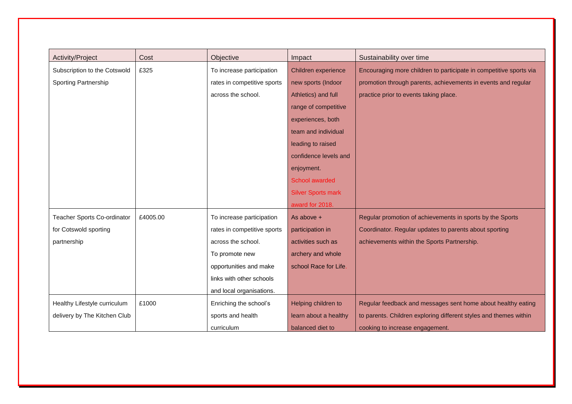| Activity/Project             | Cost     | Objective                   | Impact                    | Sustainability over time                                           |
|------------------------------|----------|-----------------------------|---------------------------|--------------------------------------------------------------------|
| Subscription to the Cotswold | £325     | To increase participation   | Children experience       | Encouraging more children to participate in competitive sports via |
| Sporting Partnership         |          | rates in competitive sports | new sports (Indoor        | promotion through parents, achievements in events and regular      |
|                              |          | across the school.          | Athletics) and full       | practice prior to events taking place.                             |
|                              |          |                             | range of competitive      |                                                                    |
|                              |          |                             | experiences, both         |                                                                    |
|                              |          |                             | team and individual       |                                                                    |
|                              |          |                             | leading to raised         |                                                                    |
|                              |          |                             | confidence levels and     |                                                                    |
|                              |          |                             | enjoyment.                |                                                                    |
|                              |          |                             | School awarded            |                                                                    |
|                              |          |                             | <b>Silver Sports mark</b> |                                                                    |
|                              |          |                             | award for 2018.           |                                                                    |
| Teacher Sports Co-ordinator  | £4005.00 | To increase participation   | As above $+$              | Regular promotion of achievements in sports by the Sports          |
| for Cotswold sporting        |          | rates in competitive sports | participation in          | Coordinator. Regular updates to parents about sporting             |
| partnership                  |          | across the school.          | activities such as        | achievements within the Sports Partnership.                        |
|                              |          | To promote new              | archery and whole         |                                                                    |
|                              |          | opportunities and make      | school Race for Life.     |                                                                    |
|                              |          | links with other schools    |                           |                                                                    |
|                              |          | and local organisations.    |                           |                                                                    |
| Healthy Lifestyle curriculum | £1000    | Enriching the school's      | Helping children to       | Regular feedback and messages sent home about healthy eating       |
| delivery by The Kitchen Club |          | sports and health           | learn about a healthy     | to parents. Children exploring different styles and themes within  |
|                              |          | curriculum                  | balanced diet to          | cooking to increase engagement.                                    |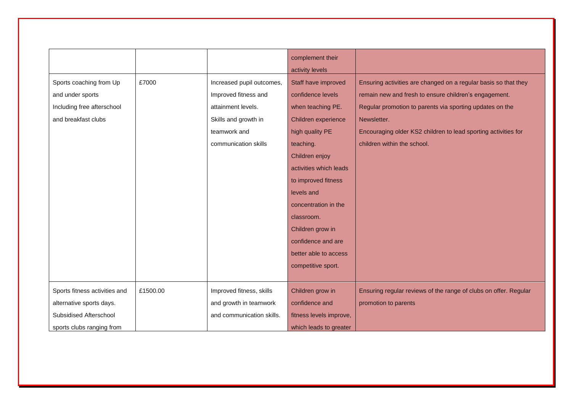|                               |          |                           | complement their        |                                                                  |
|-------------------------------|----------|---------------------------|-------------------------|------------------------------------------------------------------|
|                               |          |                           | activity levels         |                                                                  |
| Sports coaching from Up       | £7000    | Increased pupil outcomes, | Staff have improved     | Ensuring activities are changed on a regular basis so that they  |
| and under sports              |          | Improved fitness and      | confidence levels       | remain new and fresh to ensure children's engagement.            |
| Including free afterschool    |          | attainment levels.        | when teaching PE.       | Regular promotion to parents via sporting updates on the         |
| and breakfast clubs           |          | Skills and growth in      | Children experience     | Newsletter.                                                      |
|                               |          | teamwork and              | high quality PE         | Encouraging older KS2 children to lead sporting activities for   |
|                               |          | communication skills      | teaching.               | children within the school.                                      |
|                               |          |                           | Children enjoy          |                                                                  |
|                               |          |                           | activities which leads  |                                                                  |
|                               |          |                           | to improved fitness     |                                                                  |
|                               |          |                           | levels and              |                                                                  |
|                               |          |                           | concentration in the    |                                                                  |
|                               |          |                           | classroom.              |                                                                  |
|                               |          |                           | Children grow in        |                                                                  |
|                               |          |                           | confidence and are      |                                                                  |
|                               |          |                           | better able to access   |                                                                  |
|                               |          |                           | competitive sport.      |                                                                  |
|                               |          |                           |                         |                                                                  |
| Sports fitness activities and | £1500.00 | Improved fitness, skills  | Children grow in        | Ensuring regular reviews of the range of clubs on offer. Regular |
| alternative sports days.      |          | and growth in teamwork    | confidence and          | promotion to parents                                             |
| Subsidised Afterschool        |          | and communication skills. | fitness levels improve, |                                                                  |
| sports clubs ranging from     |          |                           | which leads to greater  |                                                                  |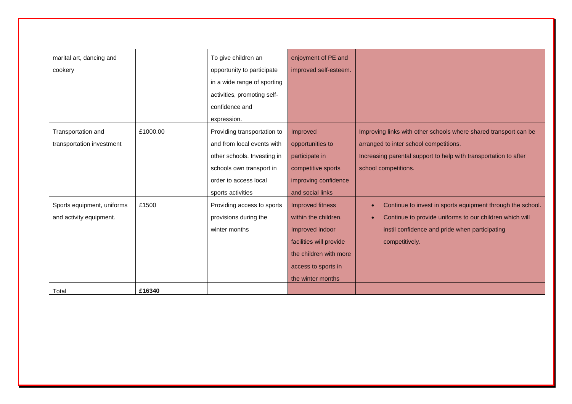| marital art, dancing and   |          | To give children an         | enjoyment of PE and     |                                                                         |
|----------------------------|----------|-----------------------------|-------------------------|-------------------------------------------------------------------------|
| cookery                    |          | opportunity to participate  | improved self-esteem.   |                                                                         |
|                            |          | in a wide range of sporting |                         |                                                                         |
|                            |          | activities, promoting self- |                         |                                                                         |
|                            |          | confidence and              |                         |                                                                         |
|                            |          | expression.                 |                         |                                                                         |
| Transportation and         | £1000.00 | Providing transportation to | Improved                | Improving links with other schools where shared transport can be        |
| transportation investment  |          | and from local events with  | opportunities to        | arranged to inter school competitions.                                  |
|                            |          | other schools. Investing in | participate in          | Increasing parental support to help with transportation to after        |
|                            |          | schools own transport in    | competitive sports      | school competitions.                                                    |
|                            |          | order to access local       | improving confidence    |                                                                         |
|                            |          | sports activities           | and social links        |                                                                         |
| Sports equipment, uniforms | £1500    | Providing access to sports  | Improved fitness        | Continue to invest in sports equipment through the school.<br>$\bullet$ |
| and activity equipment.    |          | provisions during the       | within the children.    | Continue to provide uniforms to our children which will<br>$\bullet$    |
|                            |          | winter months               | Improved indoor         | instil confidence and pride when participating                          |
|                            |          |                             | facilities will provide | competitively.                                                          |
|                            |          |                             | the children with more  |                                                                         |
|                            |          |                             | access to sports in     |                                                                         |
|                            |          |                             | the winter months       |                                                                         |
| Total                      | £16340   |                             |                         |                                                                         |